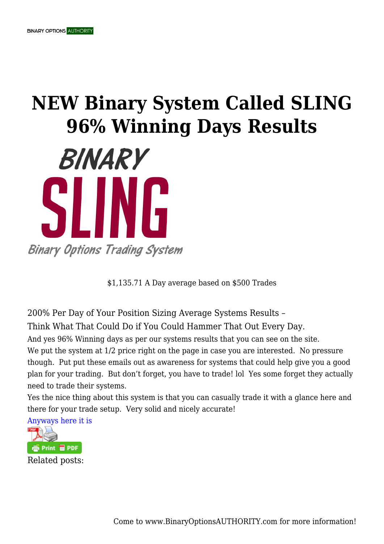## **NEW Binary System Called SLING 96% Winning Days Results**



\$1,135.71 A Day average based on \$500 Trades

200% Per Day of Your Position Sizing Average Systems Results – Think What That Could Do if You Could Hammer That Out Every Day.

And yes 96% Winning days as per our systems results that you can see on the site.

We put the system at  $1/2$  price right on the page in case you are interested. No pressure though. Put put these emails out as awareness for systems that could help give you a good plan for your trading. But don't forget, you have to trade! lol Yes some forget they actually need to trade their systems.

Yes the nice thing about this system is that you can casually trade it with a glance here and there for your trade setup. Very solid and nicely accurate!



Come to www.BinaryOptionsAUTHORITY.com for more information!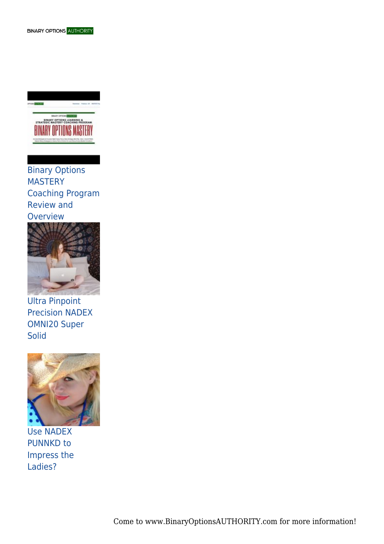

Binary Options **MASTERY** Coaching Program Review and **Overview** 



Ultra Pinpoint Precision NADEX OMNI20 Super **Solid** 



Use NADEX PUNNKD to Impress the Ladies?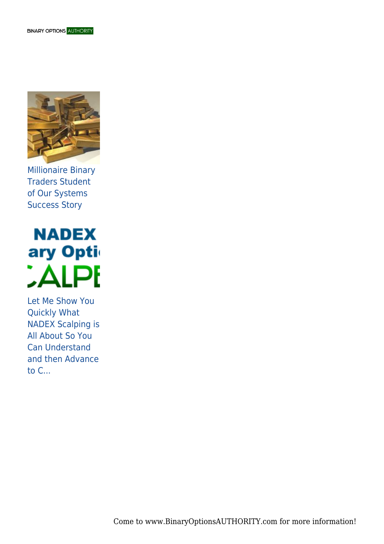

Millionaire Binary Traders Student of Our Systems Success Story

**NADEX** ary Opti **CALPE** 

Let Me Show You Quickly What NADEX Scalping is All About So You Can Understand and then Advance to C...

Come to www.BinaryOptionsAUTHORITY.com for more information!